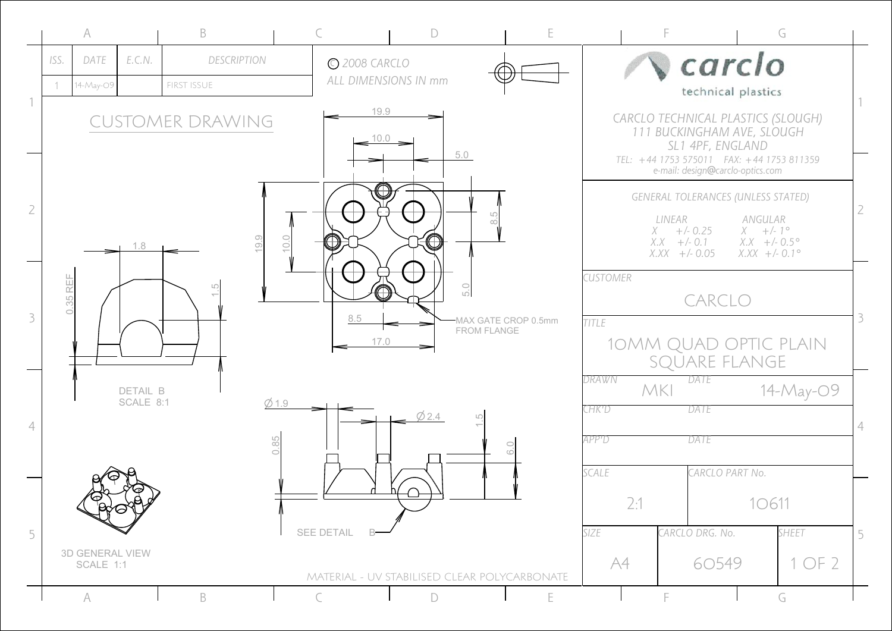